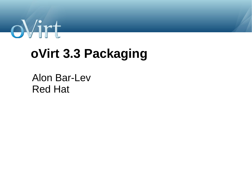

## **oVirt 3.3 Packaging**

#### Alon Bar-Lev Red Hat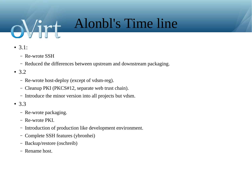# Alonbl's Time line

- 3.1:
	- Re-wrote SSH
	- Reduced the differences between upstream and downstream packaging.
- 3.2
	- Re-wrote host-deploy (except of vdsm-reg).
	- Cleanup PKI (PKCS#12, separate web trust chain).
	- Introduce the minor version into all projects but vdsm.
- 3.3
	- Re-wrote packaging.
	- Re-wrote PKI.
	- Introduction of production like development environment.
	- Complete SSH features (ybronhei)
	- Backup/restore (oschreib)
	- Rename host.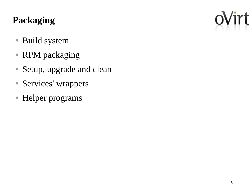## **Packaging**

- Build system
- RPM packaging
- Setup, upgrade and clean
- Services' wrappers
- Helper programs

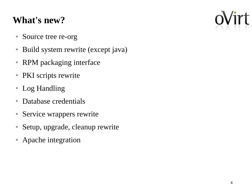#### **What's new?**

- Source tree re-org
- Build system rewrite (except java)
- RPM packaging interface
- PKI scripts rewrite
- Log Handling
- Database credentials
- Service wrappers rewrite
- Setup, upgrade, cleanup rewrite
- Apache integration

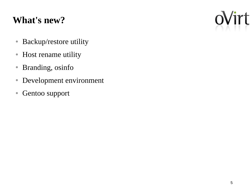#### **What's new?**

- Backup/restore utility
- Host rename utility
- Branding, osinfo
- Development environment
- Gentoo support

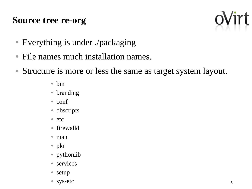#### **Source tree re-org**



- Everything is under ./packaging
- File names much installation names.
- Structure is more or less the same as target system layout.
	- bin
	- branding
	- conf
	- dbscripts
	- etc
	- firewalld
	- man
	- pki
	- pythonlib
	- services
	- setup
	- sys-etc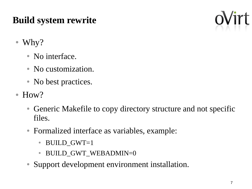## **Build system rewrite**



- Why?
	- No interface.
	- No customization.
	- No best practices.
- How?
	- Generic Makefile to copy directory structure and not specific files.
	- Formalized interface as variables, example:
		- BUILD\_GWT=1
		- BUILD GWT WEBADMIN=0
	- Support development environment installation.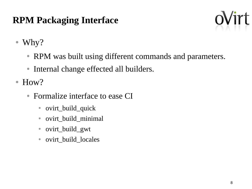#### **RPM Packaging Interface**



● Why?

- RPM was built using different commands and parameters.
- Internal change effected all builders.
- How?
	- Formalize interface to ease CI
		- ovirt\_build\_quick
		- ovirt\_build\_minimal
		- ovirt\_build\_gwt
		- ovirt\_build\_locales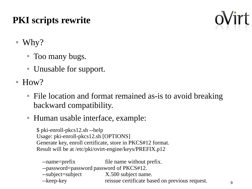## **PKI scripts rewrite**



- Why?
	- Too many bugs.
	- Unusable for support.
- How?
	- File location and format remained as-is to avoid breaking backward compatibility.
	- Human usable interface, example:

\$ pki-enroll-pkcs12.sh --help Usage: pki-enroll-pkcs12.sh [OPTIONS] Generate key, enroll certificate, store in PKCS#12 format. Result will be at /etc/pki/ovirt-engine/keys/PREFIX.p12

--name=prefix file name without prefix. --password=password password of PKCS#12. --subject=subject X.500 subject name. --keep-key reissue certificate based on previous request.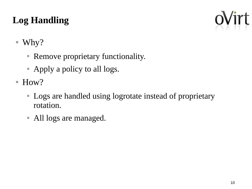## **Log Handling**



#### ● Why?

- Remove proprietary functionality.
- Apply a policy to all logs.
- How?
	- Logs are handled using logrotate instead of proprietary rotation.
	- All logs are managed.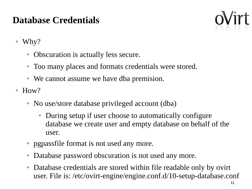#### **Database Credentials**



- Why?
	- Obscuration is actually less secure.
	- Too many places and formats credentials were stored.
	- We cannot assume we have dba premision.
- How?
	- No use/store database privileged account (dba)
		- During setup if user choose to automatically configure database we create user and empty database on behalf of the user.
	- pgpassfile format is not used any more.
	- Database password obscuration is not used any more.
	- Database credentials are stored within file readable only by ovirt user. File is: /etc/ovirt-engine/engine.conf.d/10-setup-database.conf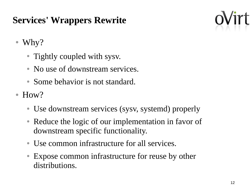## **Services' Wrappers Rewrite**



● Why?

- Tightly coupled with sysv.
- No use of downstream services.
- Some behavior is not standard.
- How?
	- Use downstream services (sysv, systemd) properly
	- Reduce the logic of our implementation in favor of downstream specific functionality.
	- Use common infrastructure for all services.
	- Expose common infrastructure for reuse by other distributions.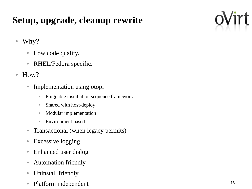## **Setup, upgrade, cleanup rewrite**

- Why?
	- Low code quality.
	- RHEL/Fedora specific.
- How?
	- Implementation using otopi
		- Pluggable installation sequence framework
		- Shared with host-deploy
		- Modular implementation
		- Environment based
	- Transactional (when legacy permits)
	- Excessive logging
	- Enhanced user dialog
	- Automation friendly
	- Uninstall friendly
	- Platform independent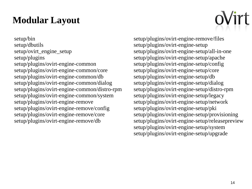### **Modular Layout**

setup/bin setup/dbutils setup/ovirt\_engine\_setup setup/plugins setup/plugins/ovirt-engine-common setup/plugins/ovirt-engine-common/core setup/plugins/ovirt-engine-common/db setup/plugins/ovirt-engine-common/dialog setup/plugins/ovirt-engine-common/distro-rpm setup/plugins/ovirt-engine-common/system setup/plugins/ovirt-engine-remove setup/plugins/ovirt-engine-remove/config setup/plugins/ovirt-engine-remove/core setup/plugins/ovirt-engine-remove/db

setup/plugins/ovirt-engine-remove/files setup/plugins/ovirt-engine-setup setup/plugins/ovirt-engine-setup/all-in-one setup/plugins/ovirt-engine-setup/apache setup/plugins/ovirt-engine-setup/config setup/plugins/ovirt-engine-setup/core setup/plugins/ovirt-engine-setup/db setup/plugins/ovirt-engine-setup/dialog setup/plugins/ovirt-engine-setup/distro-rpm setup/plugins/ovirt-engine-setup/legacy setup/plugins/ovirt-engine-setup/network setup/plugins/ovirt-engine-setup/pki setup/plugins/ovirt-engine-setup/provisioning setup/plugins/ovirt-engine-setup/releasepreview setup/plugins/ovirt-engine-setup/system setup/plugins/ovirt-engine-setup/upgrade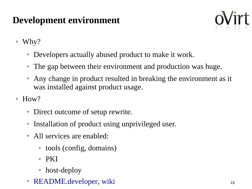## **Development environment**



- Why?
	- Developers actually abused product to make it work.
	- The gap between their environment and production was huge.
	- Any change in product resulted in breaking the environment as it was installed against product usage.
- How?
	- Direct outcome of setup rewrite.
	- Installation of product using unprivileged user.
	- All services are enabled:
		- tools (config, domains)
		- PKI
		- host-deploy
	- [README.developer,](http://gerrit.ovirt.org/gitweb?p=ovirt-engine.git;a=blob;f=README.developer;hb=HEAD) [wiki](http://www.ovirt.org/OVirt_Engine_Development_Environment)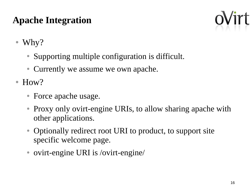## **Apache Integration**



- Why?
	- Supporting multiple configuration is difficult.
	- Currently we assume we own apache.
- How?
	- Force apache usage.
	- Proxy only ovirt-engine URIs, to allow sharing apache with other applications.
	- Optionally redirect root URI to product, to support site specific welcome page.
	- ovirt-engine URI is /ovirt-engine/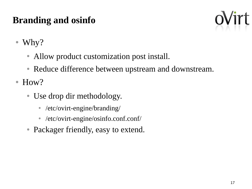## **Branding and osinfo**



- Why?
	- Allow product customization post install.
	- Reduce difference between upstream and downstream.
- How?
	- Use drop dir methodology.
		- /etc/ovirt-engine/branding/
		- /etc/ovirt-engine/osinfo.conf.conf/
	- Packager friendly, easy to extend.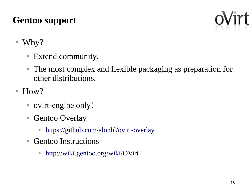## **Gentoo support**



- Why?
	- Extend community.
	- The most complex and flexible packaging as preparation for other distributions.
- How?
	- ovirt-engine only!
	- Gentoo Overlay
		- <https://github.com/alonbl/ovirt-overlay>
	- Gentoo Instructions
		- <http://wiki.gentoo.org/wiki/OVirt>